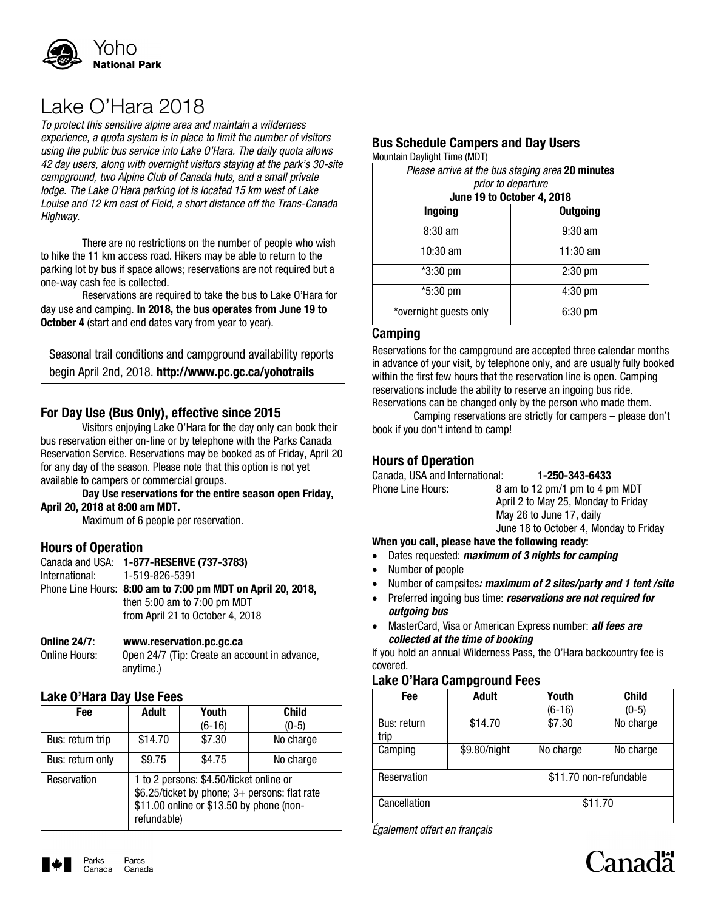

## Lake O'Hara 2018

*To protect this sensitive alpine area and maintain a wilderness experience, a quota system is in place to limit the number of visitors using the public bus service into Lake O'Hara. The daily quota allows 42 day users, along with overnight visitors staying at the park's 30-site campground, two Alpine Club of Canada huts, and a small private lodge. The Lake O'Hara parking lot is located 15 km west of Lake Louise and 12 km east of Field, a short distance off the Trans-Canada Highway.*

There are no restrictions on the number of people who wish to hike the 11 km access road. Hikers may be able to return to the parking lot by bus if space allows; reservations are not required but a one-way cash fee is collected.

Reservations are required to take the bus to Lake O'Hara for day use and camping. **In 2018, the bus operates from June 19 to October 4** (start and end dates vary from year to year).

Seasonal trail conditions and campground availability reports begin April 2nd, 2018. **http://www.pc.gc.ca/yohotrails**

## **For Day Use (Bus Only), effective since 2015**

Visitors enjoying Lake O'Hara for the day only can book their bus reservation either on-line or by telephone with the Parks Canada Reservation Service. Reservations may be booked as of Friday, April 20 for any day of the season. Please note that this option is not yet available to campers or commercial groups.

#### **Day Use reservations for the entire season open Friday, April 20, 2018 at 8:00 am MDT.**

Maximum of 6 people per reservation.

## **Hours of Operation**

| Canada and USA: 1-877-RESERVE (737-3783)                    |
|-------------------------------------------------------------|
| International: 1-519-826-5391                               |
| Phone Line Hours: 8:00 am to 7:00 pm MDT on April 20, 2018. |
| then $5:00$ am to $7:00$ pm MDT                             |
| from April 21 to October 4, 2018                            |
|                                                             |

#### **Online 24/7: [www.reservation.pc.gc.ca](http://www.reservation.pc.gc.ca/)**

Online Hours: Open 24/7 (Tip: Create an account in advance, anytime.)

## **Lake O'Hara Day Use Fees**

| Fee              | <b>Adult</b>                                                                                                                                        | Youth    | <b>Child</b> |  |
|------------------|-----------------------------------------------------------------------------------------------------------------------------------------------------|----------|--------------|--|
|                  |                                                                                                                                                     | $(6-16)$ | $(0-5)$      |  |
| Bus: return trip | \$14.70                                                                                                                                             | \$7.30   | No charge    |  |
| Bus: return only | \$9.75                                                                                                                                              | \$4.75   | No charge    |  |
| Reservation      | 1 to 2 persons: \$4.50/ticket online or<br>\$6.25/ticket by phone; 3+ persons: flat rate<br>\$11.00 online or \$13.50 by phone (non-<br>refundable) |          |              |  |

## **Bus Schedule Campers and Day Users**

Mountain Daylight Time (MDT)

| Please arrive at the bus staging area 20 minutes<br>prior to departure<br>June 19 to October 4, 2018 |                   |  |  |  |
|------------------------------------------------------------------------------------------------------|-------------------|--|--|--|
| <b>Ingoing</b>                                                                                       | <b>Outgoing</b>   |  |  |  |
| $8:30$ am                                                                                            | $9:30$ am         |  |  |  |
| $10:30 \text{ am}$                                                                                   | 11:30 am          |  |  |  |
| *3:30 pm                                                                                             | $2:30$ pm         |  |  |  |
| $*5:30 \text{ pm}$                                                                                   | $4:30 \text{ pm}$ |  |  |  |
| *overnight guests only                                                                               | $6:30$ pm         |  |  |  |

## **Camping**

Reservations for the campground are accepted three calendar months in advance of your visit, by telephone only, and are usually fully booked within the first few hours that the reservation line is open. Camping reservations include the ability to reserve an ingoing bus ride. Reservations can be changed only by the person who made them.

Camping reservations are strictly for campers – please don't book if you don't intend to camp!

## **Hours of Operation**

| Canada, USA and International:                  | 1-250-343-6433                         |  |  |  |
|-------------------------------------------------|----------------------------------------|--|--|--|
| <b>Phone Line Hours:</b>                        | 8 am to 12 pm/1 pm to 4 pm MDT         |  |  |  |
|                                                 | April 2 to May 25, Monday to Friday    |  |  |  |
|                                                 | May 26 to June 17, daily               |  |  |  |
|                                                 | June 18 to October 4, Monday to Friday |  |  |  |
| When you call, please have the following ready: |                                        |  |  |  |

## Dates requested: *maximum of 3 nights for camping*

- Number of people
- Number of campsites*: maximum of 2 sites/party and 1 tent /site*
- Preferred ingoing bus time: *reservations are not required for outgoing bus*
- MasterCard, Visa or American Express number: *all fees are collected at the time of booking*

If you hold an annual Wilderness Pass, the O'Hara backcountry fee is covered.

## **Lake O'Hara Campground Fees**

| <b>Fee</b>                 | <b>Adult</b> | Youth                  | <b>Child</b> |
|----------------------------|--------------|------------------------|--------------|
|                            |              | (6-16)                 | $(0-5)$      |
| <b>Bus: return</b><br>trip | \$14.70      | \$7.30                 | No charge    |
| Camping                    | \$9.80/night | No charge              | No charge    |
| Reservation                |              | \$11.70 non-refundable |              |
| Cancellation               | \$11.70      |                        |              |

*Également offert en français*